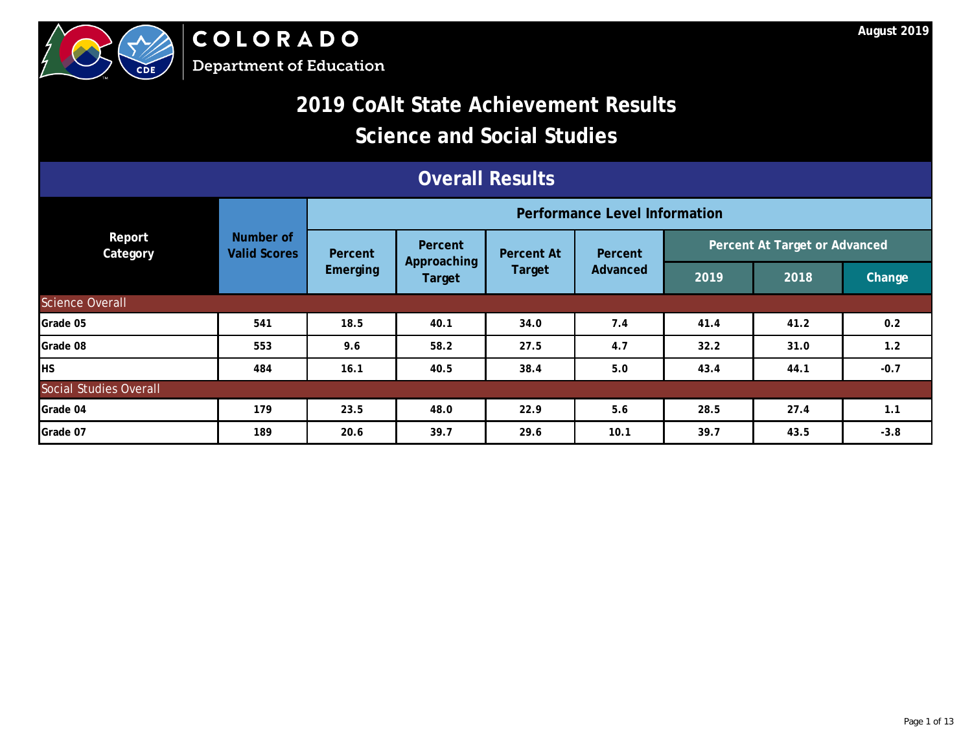

COLORADO **Department of Education** 

### **2019 CoAlt State Achievement Results**

### **Science and Social Studies**

| <b>Overall Results</b>    |                                  |                                   |                                      |                   |         |      |                               |        |  |  |
|---------------------------|----------------------------------|-----------------------------------|--------------------------------------|-------------------|---------|------|-------------------------------|--------|--|--|
|                           |                                  |                                   | <b>Performance Level Information</b> |                   |         |      |                               |        |  |  |
| Report<br><b>Category</b> | Number of<br><b>Valid Scores</b> | Percent                           | Percent                              | <b>Percent At</b> | Percent |      | Percent At Target or Advanced |        |  |  |
|                           |                                  | Approaching<br>Emerging<br>Target | Target                               | Advanced          | 2019    | 2018 | Change                        |        |  |  |
| Science Overall           |                                  |                                   |                                      |                   |         |      |                               |        |  |  |
| Grade 05                  | 541                              | 18.5                              | 40.1                                 | 34.0              | 7.4     | 41.4 | 41.2                          | 0.2    |  |  |
| Grade 08                  | 553                              | 9.6                               | 58.2                                 | 27.5              | 4.7     | 32.2 | 31.0                          | 1.2    |  |  |
| HS.                       | 484                              | 16.1                              | 40.5                                 | 38.4              | 5.0     | 43.4 | 44.1                          | $-0.7$ |  |  |
| Social Studies Overall    |                                  |                                   |                                      |                   |         |      |                               |        |  |  |
| Grade 04                  | 179                              | 23.5                              | 48.0                                 | 22.9              | 5.6     | 28.5 | 27.4                          | 1.1    |  |  |
| Grade 07                  | 189                              | 20.6                              | 39.7                                 | 29.6              | 10.1    | 39.7 | 43.5                          | $-3.8$ |  |  |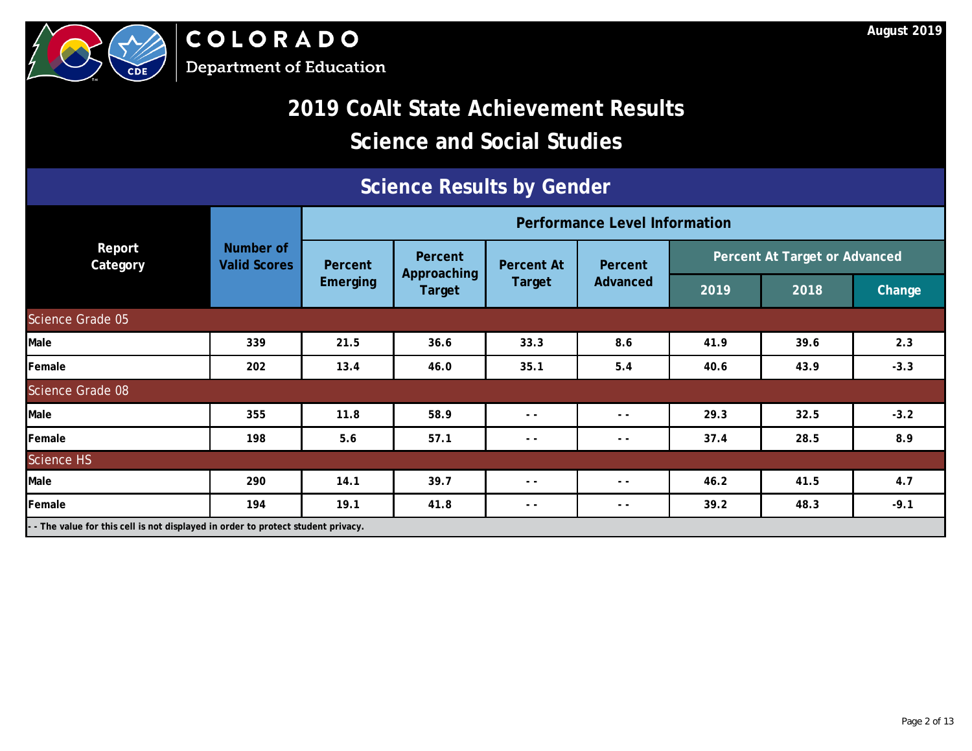

# **2019 CoAlt State Achievement Results Science and Social Studies**

### **Science Results by Gender**

|                                                                               |                                  | <b>Performance Level Information</b> |                        |                   |               |      |                               |               |  |
|-------------------------------------------------------------------------------|----------------------------------|--------------------------------------|------------------------|-------------------|---------------|------|-------------------------------|---------------|--|
| Report<br>Category                                                            | Number of<br><b>Valid Scores</b> | Percent                              | Percent<br>Approaching | <b>Percent At</b> | Percent       |      | Percent At Target or Advanced |               |  |
|                                                                               |                                  | <b>Emerging</b>                      | <b>Target</b>          | <b>Target</b>     | Advanced      | 2019 | 2018                          | <b>Change</b> |  |
| Science Grade 05                                                              |                                  |                                      |                        |                   |               |      |                               |               |  |
| Male                                                                          | 339                              | 21.5                                 | 36.6                   | 33.3              | 8.6           | 41.9 | 39.6                          | 2.3           |  |
| Female                                                                        | 202                              | 13.4                                 | 46.0                   | 35.1              | 5.4           | 40.6 | 43.9                          | $-3.3$        |  |
| Science Grade 08                                                              |                                  |                                      |                        |                   |               |      |                               |               |  |
| Male                                                                          | 355                              | 11.8                                 | 58.9                   | $ -$              | $ -$          | 29.3 | 32.5                          | $-3.2$        |  |
| Female                                                                        | 198                              | 5.6                                  | 57.1                   | $ -$              | $\sim$ $\sim$ | 37.4 | 28.5                          | 8.9           |  |
| Science HS                                                                    |                                  |                                      |                        |                   |               |      |                               |               |  |
| Male                                                                          | 290                              | 14.1                                 | 39.7                   | $ -$              | $ -$          | 46.2 | 41.5                          | 4.7           |  |
| Female                                                                        | 194                              | 19.1                                 | 41.8                   | $ -$              | $ -$          | 39.2 | 48.3                          | $-9.1$        |  |
| The value for this cell is not displayed in order to protect student privacy. |                                  |                                      |                        |                   |               |      |                               |               |  |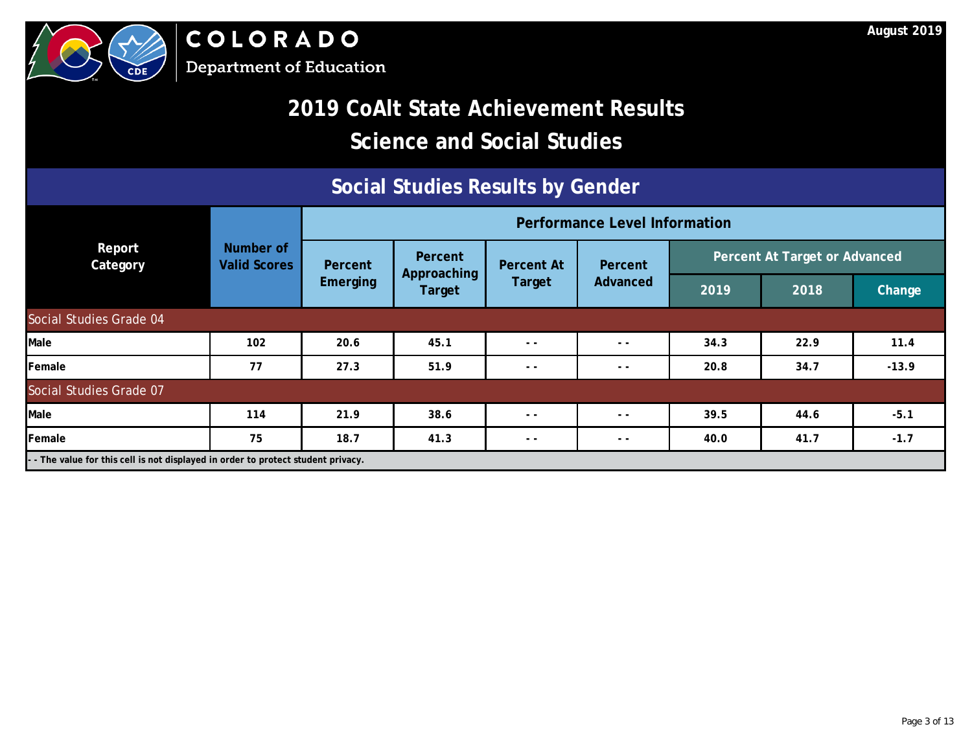

#### **Social Studies Results by Gender**

|                                                                                 |                                  | <b>Performance Level Information</b> |                        |                   |               |      |                                      |         |  |
|---------------------------------------------------------------------------------|----------------------------------|--------------------------------------|------------------------|-------------------|---------------|------|--------------------------------------|---------|--|
| Report<br>Category                                                              | Number of<br><b>Valid Scores</b> | Percent                              | Percent<br>Approaching | <b>Percent At</b> | Percent       |      | <b>Percent At Target or Advanced</b> |         |  |
|                                                                                 |                                  | <b>Emerging</b><br>Target            | Target                 | Advanced          | 2019          | 2018 | <b>Change</b>                        |         |  |
| Social Studies Grade 04                                                         |                                  |                                      |                        |                   |               |      |                                      |         |  |
| Male                                                                            | 102                              | 20.6                                 | 45.1                   | $ -$              | $ -$          | 34.3 | 22.9                                 | 11.4    |  |
| Female                                                                          | 77                               | 27.3                                 | 51.9                   | $ -$              | $ -$          | 20.8 | 34.7                                 | $-13.9$ |  |
| Social Studies Grade 07                                                         |                                  |                                      |                        |                   |               |      |                                      |         |  |
| Male                                                                            | 114                              | 21.9                                 | 38.6                   | $ -$              | $\sim$ $\sim$ | 39.5 | 44.6                                 | $-5.1$  |  |
| Female                                                                          | 75                               | 18.7                                 | 41.3                   | $ -$              | $ -$          | 40.0 | 41.7                                 | $-1.7$  |  |
| - The value for this cell is not displayed in order to protect student privacy. |                                  |                                      |                        |                   |               |      |                                      |         |  |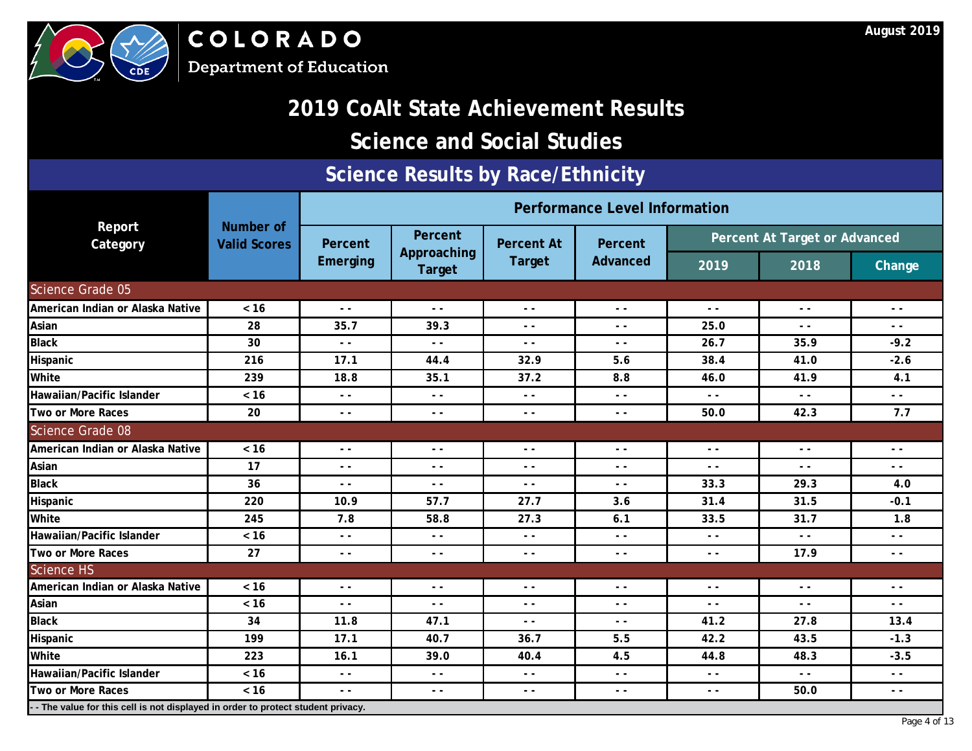

COLORADO **Department of Education** 

### **2019 CoAlt State Achievement Results**

### **Science and Social Studies**

#### **Science Results by Race/Ethnicity**

|                                                                                  |                                         |                 |                               |                   | <b>Performance Level Information</b>                                                                                                                                                                                                                                                                                                                                                         |                                                                                                                                                                                                                                                                                                                                                                                                                                                                                                                                                                                                                                                                                                                                                                                                                                                                                                                                                                                                                                                                  |  |  |  |  |  |
|----------------------------------------------------------------------------------|-----------------------------------------|-----------------|-------------------------------|-------------------|----------------------------------------------------------------------------------------------------------------------------------------------------------------------------------------------------------------------------------------------------------------------------------------------------------------------------------------------------------------------------------------------|------------------------------------------------------------------------------------------------------------------------------------------------------------------------------------------------------------------------------------------------------------------------------------------------------------------------------------------------------------------------------------------------------------------------------------------------------------------------------------------------------------------------------------------------------------------------------------------------------------------------------------------------------------------------------------------------------------------------------------------------------------------------------------------------------------------------------------------------------------------------------------------------------------------------------------------------------------------------------------------------------------------------------------------------------------------|--|--|--|--|--|
| Report<br>Category                                                               | <b>Number of</b><br><b>Valid Scores</b> | Percent         | <b>Percent</b><br>Approaching | <b>Percent At</b> | Percent                                                                                                                                                                                                                                                                                                                                                                                      | Percent At Target or Advanced<br>2019<br>2018<br>Change<br>$ -$<br>$ -$<br>$ -$<br>25.0<br>$ -$<br>$ -$<br>26.7<br>35.9<br>$-9.2$<br>38.4<br>$-2.6$<br>41.0<br>41.9<br>4.1<br>46.0<br>$\sim$ $\sim$<br>$ -$<br>$ -$<br>42.3<br>7.7<br>50.0<br>$ -$<br>$\sim$ $\sim$<br>$\sim$ $\sim$<br>$ -$<br>$ -$<br>$ -$<br>33.3<br>29.3<br>4.0<br>31.4<br>31.5<br>$-0.1$<br>31.7<br>33.5<br>1.8<br>$ -$<br>$ -$<br>$ -$<br>17.9<br>$- -$<br>$ -$<br>$ -$<br>$ -$<br>$ -$<br>$\frac{1}{2} \frac{1}{2} \frac{1}{2} \frac{1}{2} \frac{1}{2} \frac{1}{2} \frac{1}{2} \frac{1}{2} \frac{1}{2} \frac{1}{2} \frac{1}{2} \frac{1}{2} \frac{1}{2} \frac{1}{2} \frac{1}{2} \frac{1}{2} \frac{1}{2} \frac{1}{2} \frac{1}{2} \frac{1}{2} \frac{1}{2} \frac{1}{2} \frac{1}{2} \frac{1}{2} \frac{1}{2} \frac{1}{2} \frac{1}{2} \frac{1}{2} \frac{1}{2} \frac{1}{2} \frac{1}{2} \frac{$<br>$ -$<br>$\sim$ $\sim$<br>41.2<br>27.8<br>13.4<br>42.2<br>43.5<br>$-1.3$<br>48.3<br>$-3.5$<br>44.8<br>$ -$<br>$ -$<br>$\frac{1}{2} \left( \frac{1}{2} \right)$<br>50.0<br>$\sim$ $\sim$<br>$- -$ |  |  |  |  |  |
|                                                                                  |                                         | <b>Emerging</b> | <b>Target</b>                 | <b>Target</b>     | <b>Advanced</b>                                                                                                                                                                                                                                                                                                                                                                              |                                                                                                                                                                                                                                                                                                                                                                                                                                                                                                                                                                                                                                                                                                                                                                                                                                                                                                                                                                                                                                                                  |  |  |  |  |  |
| Science Grade 05                                                                 |                                         |                 |                               |                   |                                                                                                                                                                                                                                                                                                                                                                                              |                                                                                                                                                                                                                                                                                                                                                                                                                                                                                                                                                                                                                                                                                                                                                                                                                                                                                                                                                                                                                                                                  |  |  |  |  |  |
| American Indian or Alaska Native                                                 | $< 16$                                  | $ -$            | $ -$                          | $ -$              | $\sim$ $\sim$                                                                                                                                                                                                                                                                                                                                                                                |                                                                                                                                                                                                                                                                                                                                                                                                                                                                                                                                                                                                                                                                                                                                                                                                                                                                                                                                                                                                                                                                  |  |  |  |  |  |
| Asian                                                                            | 28                                      | 35.7            | 39.3                          | - -               | $ -$                                                                                                                                                                                                                                                                                                                                                                                         |                                                                                                                                                                                                                                                                                                                                                                                                                                                                                                                                                                                                                                                                                                                                                                                                                                                                                                                                                                                                                                                                  |  |  |  |  |  |
| <b>Black</b>                                                                     | 30                                      | $ -$            | $ -$                          | $ -$              | $\frac{1}{2}$                                                                                                                                                                                                                                                                                                                                                                                |                                                                                                                                                                                                                                                                                                                                                                                                                                                                                                                                                                                                                                                                                                                                                                                                                                                                                                                                                                                                                                                                  |  |  |  |  |  |
| Hispanic                                                                         | 216                                     | 17.1            | 44.4                          | 32.9              | 5.6                                                                                                                                                                                                                                                                                                                                                                                          |                                                                                                                                                                                                                                                                                                                                                                                                                                                                                                                                                                                                                                                                                                                                                                                                                                                                                                                                                                                                                                                                  |  |  |  |  |  |
| White                                                                            | 239                                     | 18.8            | 35.1                          | 37.2              | 8.8                                                                                                                                                                                                                                                                                                                                                                                          |                                                                                                                                                                                                                                                                                                                                                                                                                                                                                                                                                                                                                                                                                                                                                                                                                                                                                                                                                                                                                                                                  |  |  |  |  |  |
| Hawaiian/Pacific Islander                                                        | $< 16$                                  | $ -$            | $ -$                          | $ -$              | $\sim$ $\sim$                                                                                                                                                                                                                                                                                                                                                                                |                                                                                                                                                                                                                                                                                                                                                                                                                                                                                                                                                                                                                                                                                                                                                                                                                                                                                                                                                                                                                                                                  |  |  |  |  |  |
| Two or More Races                                                                | 20                                      | $ -$            | $\frac{1}{2}$                 | $\frac{1}{2}$     | $ -$                                                                                                                                                                                                                                                                                                                                                                                         |                                                                                                                                                                                                                                                                                                                                                                                                                                                                                                                                                                                                                                                                                                                                                                                                                                                                                                                                                                                                                                                                  |  |  |  |  |  |
| <b>Science Grade 08</b>                                                          |                                         |                 |                               |                   |                                                                                                                                                                                                                                                                                                                                                                                              |                                                                                                                                                                                                                                                                                                                                                                                                                                                                                                                                                                                                                                                                                                                                                                                                                                                                                                                                                                                                                                                                  |  |  |  |  |  |
| American Indian or Alaska Native                                                 | $< 16$                                  | $ -$            | $ -$                          | $ -$              | $ -$                                                                                                                                                                                                                                                                                                                                                                                         |                                                                                                                                                                                                                                                                                                                                                                                                                                                                                                                                                                                                                                                                                                                                                                                                                                                                                                                                                                                                                                                                  |  |  |  |  |  |
| Asian                                                                            | 17                                      | $ -$            | $ -$                          | $ -$              | $\sim$ $\sim$                                                                                                                                                                                                                                                                                                                                                                                |                                                                                                                                                                                                                                                                                                                                                                                                                                                                                                                                                                                                                                                                                                                                                                                                                                                                                                                                                                                                                                                                  |  |  |  |  |  |
| <b>Black</b>                                                                     | 36                                      | $ -$            | $ -$                          | $- -$             | $\frac{1}{2} \frac{1}{2} \frac{1}{2} \frac{1}{2} \frac{1}{2} \frac{1}{2} \frac{1}{2} \frac{1}{2} \frac{1}{2} \frac{1}{2} \frac{1}{2} \frac{1}{2} \frac{1}{2} \frac{1}{2} \frac{1}{2} \frac{1}{2} \frac{1}{2} \frac{1}{2} \frac{1}{2} \frac{1}{2} \frac{1}{2} \frac{1}{2} \frac{1}{2} \frac{1}{2} \frac{1}{2} \frac{1}{2} \frac{1}{2} \frac{1}{2} \frac{1}{2} \frac{1}{2} \frac{1}{2} \frac{$ |                                                                                                                                                                                                                                                                                                                                                                                                                                                                                                                                                                                                                                                                                                                                                                                                                                                                                                                                                                                                                                                                  |  |  |  |  |  |
| Hispanic                                                                         | 220                                     | 10.9            | 57.7                          | 27.7              | 3.6                                                                                                                                                                                                                                                                                                                                                                                          |                                                                                                                                                                                                                                                                                                                                                                                                                                                                                                                                                                                                                                                                                                                                                                                                                                                                                                                                                                                                                                                                  |  |  |  |  |  |
| White                                                                            | 245                                     | 7.8             | 58.8                          | 27.3              | 6.1                                                                                                                                                                                                                                                                                                                                                                                          |                                                                                                                                                                                                                                                                                                                                                                                                                                                                                                                                                                                                                                                                                                                                                                                                                                                                                                                                                                                                                                                                  |  |  |  |  |  |
| Hawaiian/Pacific Islander                                                        | $< 16$                                  | - -             | $ -$                          | $\frac{1}{2}$     | $- -$                                                                                                                                                                                                                                                                                                                                                                                        |                                                                                                                                                                                                                                                                                                                                                                                                                                                                                                                                                                                                                                                                                                                                                                                                                                                                                                                                                                                                                                                                  |  |  |  |  |  |
| Two or More Races                                                                | 27                                      | $ -$            | $\frac{1}{2}$                 | $ -$              | $ -$                                                                                                                                                                                                                                                                                                                                                                                         |                                                                                                                                                                                                                                                                                                                                                                                                                                                                                                                                                                                                                                                                                                                                                                                                                                                                                                                                                                                                                                                                  |  |  |  |  |  |
| <b>Science HS</b>                                                                |                                         |                 |                               |                   |                                                                                                                                                                                                                                                                                                                                                                                              |                                                                                                                                                                                                                                                                                                                                                                                                                                                                                                                                                                                                                                                                                                                                                                                                                                                                                                                                                                                                                                                                  |  |  |  |  |  |
| American Indian or Alaska Native                                                 | $< 16$                                  | $ -$            | $ -$                          | $ -$              | $ -$                                                                                                                                                                                                                                                                                                                                                                                         |                                                                                                                                                                                                                                                                                                                                                                                                                                                                                                                                                                                                                                                                                                                                                                                                                                                                                                                                                                                                                                                                  |  |  |  |  |  |
| Asian                                                                            | $< 16$                                  | $ -$            | $ -$                          | $ -$              | $ -$                                                                                                                                                                                                                                                                                                                                                                                         |                                                                                                                                                                                                                                                                                                                                                                                                                                                                                                                                                                                                                                                                                                                                                                                                                                                                                                                                                                                                                                                                  |  |  |  |  |  |
| <b>Black</b>                                                                     | 34                                      | 11.8            | 47.1                          | $ -$              | $ -$                                                                                                                                                                                                                                                                                                                                                                                         |                                                                                                                                                                                                                                                                                                                                                                                                                                                                                                                                                                                                                                                                                                                                                                                                                                                                                                                                                                                                                                                                  |  |  |  |  |  |
| Hispanic                                                                         | 199                                     | 17.1            | 40.7                          | 36.7              | 5.5                                                                                                                                                                                                                                                                                                                                                                                          |                                                                                                                                                                                                                                                                                                                                                                                                                                                                                                                                                                                                                                                                                                                                                                                                                                                                                                                                                                                                                                                                  |  |  |  |  |  |
| White                                                                            | 223                                     | 16.1            | 39.0                          | 40.4              | 4.5                                                                                                                                                                                                                                                                                                                                                                                          |                                                                                                                                                                                                                                                                                                                                                                                                                                                                                                                                                                                                                                                                                                                                                                                                                                                                                                                                                                                                                                                                  |  |  |  |  |  |
| Hawaiian/Pacific Islander                                                        | < 16                                    | $ -$            | $-$                           | $ -$              | $ -$                                                                                                                                                                                                                                                                                                                                                                                         |                                                                                                                                                                                                                                                                                                                                                                                                                                                                                                                                                                                                                                                                                                                                                                                                                                                                                                                                                                                                                                                                  |  |  |  |  |  |
| Two or More Races                                                                | < 16                                    | $ -$            | $ -$                          | $ -$              | $ -$                                                                                                                                                                                                                                                                                                                                                                                         |                                                                                                                                                                                                                                                                                                                                                                                                                                                                                                                                                                                                                                                                                                                                                                                                                                                                                                                                                                                                                                                                  |  |  |  |  |  |
| -- The value for this cell is not displayed in order to protect student privacy. |                                         |                 |                               |                   |                                                                                                                                                                                                                                                                                                                                                                                              |                                                                                                                                                                                                                                                                                                                                                                                                                                                                                                                                                                                                                                                                                                                                                                                                                                                                                                                                                                                                                                                                  |  |  |  |  |  |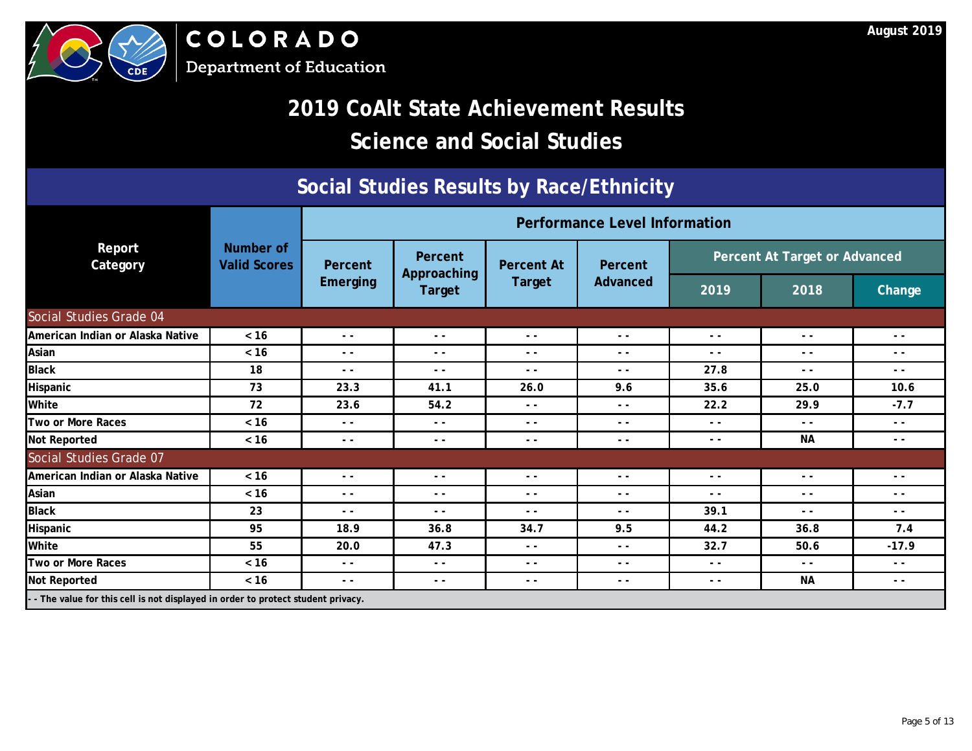



### **Social Studies Results by Race/Ethnicity**

|                                  |                                                                                  |               |                        |                   | <b>Performance Level Information</b> |                               |               |               |  |  |
|----------------------------------|----------------------------------------------------------------------------------|---------------|------------------------|-------------------|--------------------------------------|-------------------------------|---------------|---------------|--|--|
| Report<br>Category               | Number of<br><b>Valid Scores</b>                                                 | Percent       | Percent<br>Approaching | <b>Percent At</b> | Percent                              | Percent At Target or Advanced |               |               |  |  |
|                                  |                                                                                  | Emerging      | <b>Target</b>          | <b>Target</b>     | Advanced                             | 2019                          | 2018          | <b>Change</b> |  |  |
| Social Studies Grade 04          |                                                                                  |               |                        |                   |                                      |                               |               |               |  |  |
| American Indian or Alaska Native | $< 16$                                                                           | $ -$          | $\frac{1}{2}$          | $ -$              | $ -$                                 | $ -$                          | $ -$          | $ -$          |  |  |
| Asian                            | $< 16$                                                                           | $ -$          | $\frac{1}{2}$          | $ -$              | $ -$                                 | $ -$                          | $ -$          | $ -$          |  |  |
| <b>Black</b>                     | 18                                                                               | $ -$          | $\frac{1}{2}$          | $ -$              | $ -$                                 | 27.8                          | $ -$          | $ -$          |  |  |
| Hispanic                         | 73                                                                               | 23.3          | 41.1                   | 26.0              | 9.6                                  | 35.6                          | 25.0          | 10.6          |  |  |
| White                            | 72                                                                               | 23.6          | 54.2                   | $ -$              | $ -$                                 | 22.2                          | 29.9          | $-7.7$        |  |  |
| Two or More Races                | $< 16$                                                                           | $ -$          | $\sim$ $\sim$          | $ -$              | $ -$                                 | - -                           | $ -$          | $ -$          |  |  |
| <b>Not Reported</b>              | $< 16$                                                                           | $ -$          | $\frac{1}{2}$          | $ -$              | $ -$                                 | $ -$                          | <b>NA</b>     | - -           |  |  |
| Social Studies Grade 07          |                                                                                  |               |                        |                   |                                      |                               |               |               |  |  |
| American Indian or Alaska Native | $< 16$                                                                           | $ -$          | $ -$                   | $ -$              | $ -$                                 | - -                           | $ -$          | $ -$          |  |  |
| Asian                            | $< 16$                                                                           | $\sim$ $\sim$ | $\frac{1}{2}$          | $ -$              | $ -$                                 | $ -$                          | $ -$          | $ -$          |  |  |
| <b>Black</b>                     | 23                                                                               | $ -$          | $\sim$ $\sim$          | $ -$              | $ -$                                 | 39.1                          | $\sim$ $\sim$ | $ -$          |  |  |
| Hispanic                         | 95                                                                               | 18.9          | 36.8                   | 34.7              | 9.5                                  | 44.2                          | 36.8          | 7.4           |  |  |
| White                            | 55                                                                               | 20.0          | 47.3                   | $ -$              | $ -$                                 | 32.7                          | 50.6          | $-17.9$       |  |  |
| Two or More Races                | $< 16$                                                                           | $ -$          | $ -$                   | $ -$              | $ -$                                 | $ -$                          | $\frac{1}{2}$ | $\sim$ $\sim$ |  |  |
| <b>Not Reported</b>              | $< 16$                                                                           | $\sim$ $\sim$ | $\frac{1}{2}$          | $ -$              | $ -$                                 | $ -$                          | NА            | $\sim$ $\sim$ |  |  |
|                                  | -- The value for this cell is not displayed in order to protect student privacy. |               |                        |                   |                                      |                               |               |               |  |  |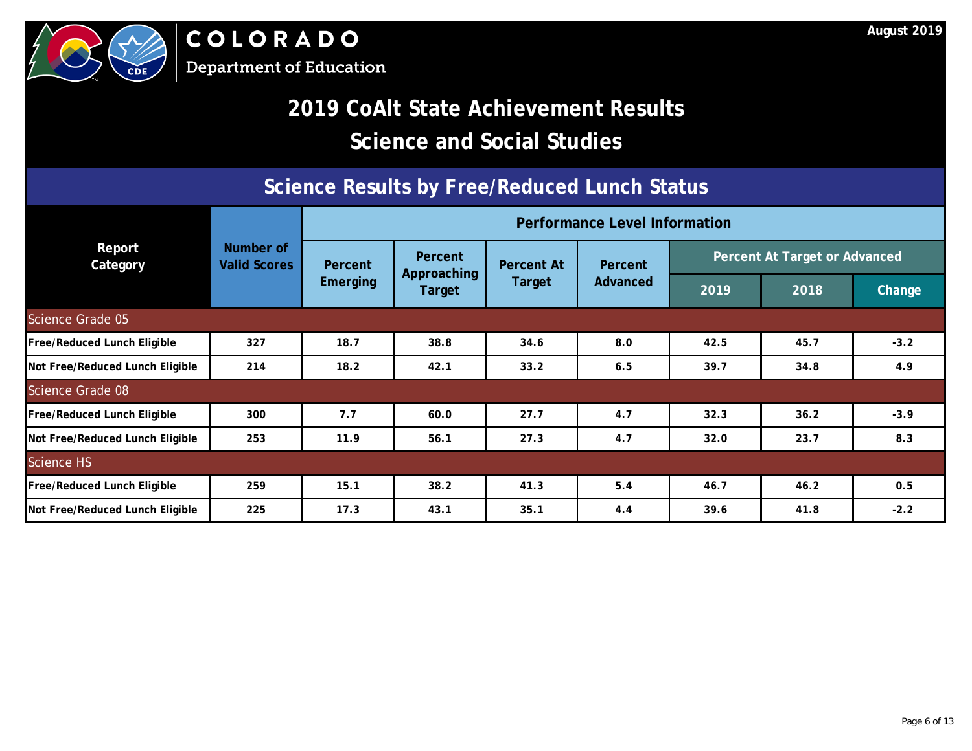



#### **Science Results by Free/Reduced Lunch Status**

|                                    |                                  |          | <b>Performance Level Information</b> |                   |          |                               |      |        |  |
|------------------------------------|----------------------------------|----------|--------------------------------------|-------------------|----------|-------------------------------|------|--------|--|
| Report<br>Category                 | Number of<br><b>Valid Scores</b> | Percent  | <b>Percent</b>                       | <b>Percent At</b> | Percent  | Percent At Target or Advanced |      |        |  |
|                                    |                                  | Emerging | Approaching<br>Target                | Target            | Advanced | 2019                          | 2018 | Change |  |
| Science Grade 05                   |                                  |          |                                      |                   |          |                               |      |        |  |
| <b>Free/Reduced Lunch Eligible</b> | 327                              | 18.7     | 38.8                                 | 34.6              | 8.0      | 42.5                          | 45.7 | $-3.2$ |  |
| Not Free/Reduced Lunch Eligible    | 214                              | 18.2     | 42.1                                 | 33.2              | 6.5      | 39.7                          | 34.8 | 4.9    |  |
| Science Grade 08                   |                                  |          |                                      |                   |          |                               |      |        |  |
| <b>Free/Reduced Lunch Eligible</b> | 300                              | 7.7      | 60.0                                 | 27.7              | 4.7      | 32.3                          | 36.2 | $-3.9$ |  |
| Not Free/Reduced Lunch Eligible    | 253                              | 11.9     | 56.1                                 | 27.3              | 4.7      | 32.0                          | 23.7 | 8.3    |  |
| <b>Science HS</b>                  |                                  |          |                                      |                   |          |                               |      |        |  |
| <b>Free/Reduced Lunch Eligible</b> | 259                              | 15.1     | 38.2                                 | 41.3              | 5.4      | 46.7                          | 46.2 | 0.5    |  |
| Not Free/Reduced Lunch Eligible    | 225                              | 17.3     | 43.1                                 | 35.1              | 4.4      | 39.6                          | 41.8 | $-2.2$ |  |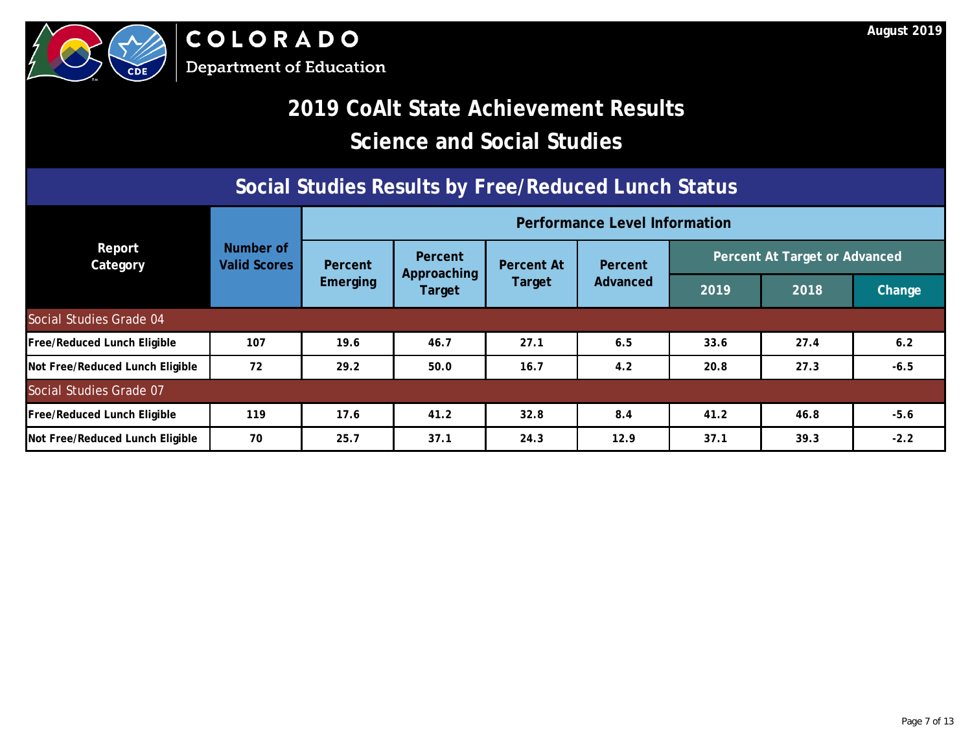# **2019 CoAlt State Achievement Results Science and Social Studies**

### **Social Studies Results by Free/Reduced Lunch Status**

|                                    |                                  | <b>Performance Level Information</b> |                        |                   |          |      |      |                                                                                         |  |  |  |  |
|------------------------------------|----------------------------------|--------------------------------------|------------------------|-------------------|----------|------|------|-----------------------------------------------------------------------------------------|--|--|--|--|
| Report<br>Category                 | Number of<br><b>Valid Scores</b> | Percent                              | Percent<br>Approaching | <b>Percent At</b> | Percent  |      |      | Percent At Target or Advanced<br>2018<br><b>Change</b><br>27.4<br>6.2<br>27.3<br>$-6.5$ |  |  |  |  |
|                                    |                                  | <b>Emerging</b>                      | Target                 | Target            | Advanced | 2019 |      |                                                                                         |  |  |  |  |
| Social Studies Grade 04            |                                  |                                      |                        |                   |          |      |      |                                                                                         |  |  |  |  |
| Free/Reduced Lunch Eligible        | 107                              | 19.6                                 | 46.7                   | 27.1              | 6.5      | 33.6 |      |                                                                                         |  |  |  |  |
| Not Free/Reduced Lunch Eligible    | 72                               | 29.2                                 | 50.0                   | 16.7              | 4.2      | 20.8 |      |                                                                                         |  |  |  |  |
| Social Studies Grade 07            |                                  |                                      |                        |                   |          |      |      |                                                                                         |  |  |  |  |
| <b>Free/Reduced Lunch Eligible</b> | 119                              | 17.6                                 | 41.2                   | 32.8              | 8.4      | 41.2 | 46.8 | $-5.6$                                                                                  |  |  |  |  |
| Not Free/Reduced Lunch Eligible    | 70                               | 25.7                                 | 37.1                   | 24.3              | 12.9     | 37.1 | 39.3 | $-2.2$                                                                                  |  |  |  |  |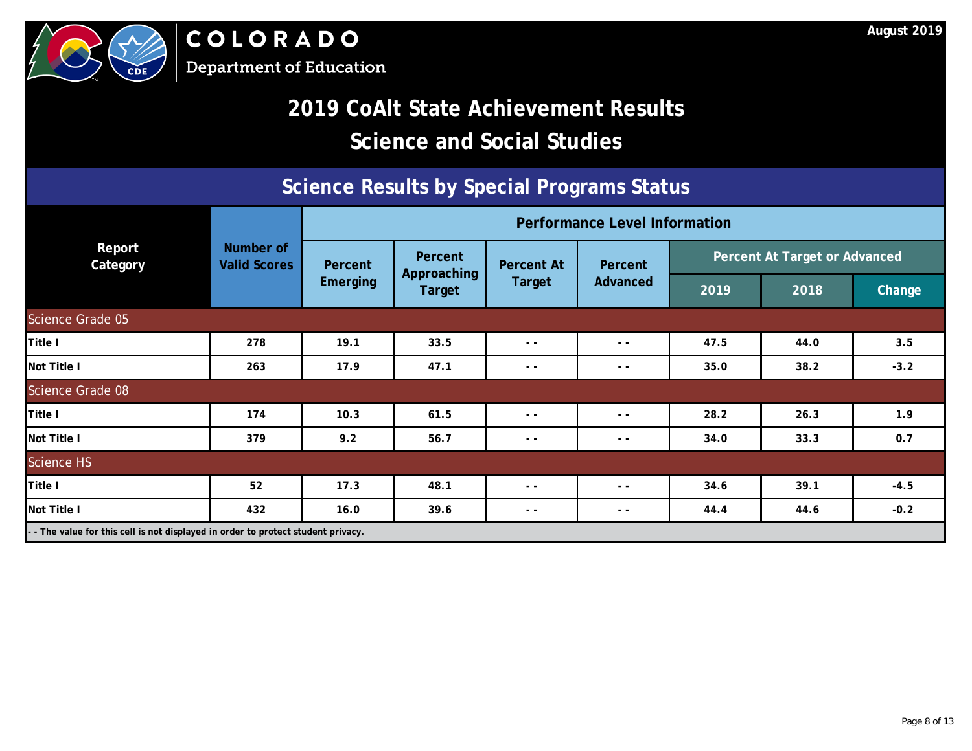

### **Science Results by Special Programs Status**

|                                                                                 |                                  | <b>Performance Level Information</b> |                              |                   |          |      |                               |               |  |
|---------------------------------------------------------------------------------|----------------------------------|--------------------------------------|------------------------------|-------------------|----------|------|-------------------------------|---------------|--|
| Report<br>Category                                                              | Number of<br><b>Valid Scores</b> | Percent                              | Percent                      | <b>Percent At</b> | Percent  |      | Percent At Target or Advanced |               |  |
|                                                                                 |                                  | <b>Emerging</b>                      | Approaching<br><b>Target</b> | Target            | Advanced | 2019 | 2018                          | <b>Change</b> |  |
| Science Grade 05                                                                |                                  |                                      |                              |                   |          |      |                               |               |  |
| Title I                                                                         | 278                              | 19.1                                 | 33.5                         | $ -$              | $ -$     | 47.5 | 44.0                          | 3.5           |  |
| Not Title I                                                                     | 263                              | 17.9                                 | 47.1                         | $ -$              | $ -$     | 35.0 | 38.2                          | $-3.2$        |  |
| Science Grade 08                                                                |                                  |                                      |                              |                   |          |      |                               |               |  |
| Title I                                                                         | 174                              | 10.3                                 | 61.5                         | $ -$              | $ -$     | 28.2 | 26.3                          | 1.9           |  |
| <b>Not Title I</b>                                                              | 379                              | 9.2                                  | 56.7                         | $ -$              | $ -$     | 34.0 | 33.3                          | 0.7           |  |
| <b>Science HS</b>                                                               |                                  |                                      |                              |                   |          |      |                               |               |  |
| Title I                                                                         | 52                               | 17.3                                 | 48.1                         | $ -$              | $ -$     | 34.6 | 39.1                          | $-4.5$        |  |
| <b>Not Title I</b>                                                              | 432                              | 16.0                                 | 39.6                         | $ -$              | $ -$     | 44.4 | 44.6                          | $-0.2$        |  |
| - The value for this cell is not displayed in order to protect student privacy. |                                  |                                      |                              |                   |          |      |                               |               |  |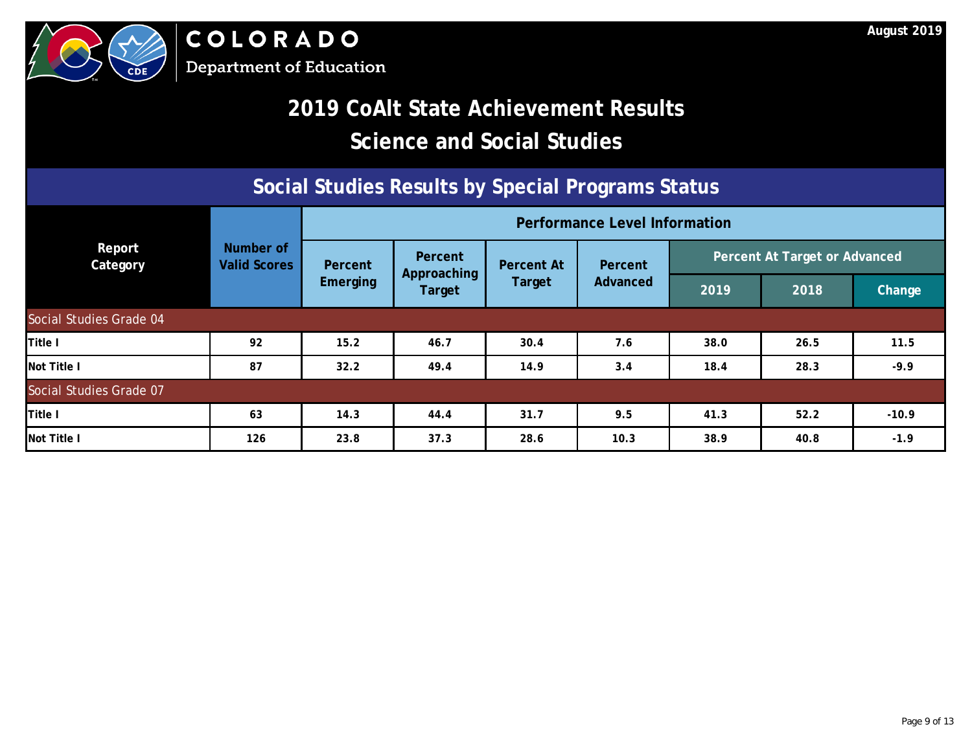

# **2019 CoAlt State Achievement Results Science and Social Studies**

#### **Social Studies Results by Special Programs Status**

|                           |                                  | <b>Performance Level Information</b> |                        |                   |          |      |                               |               |  |
|---------------------------|----------------------------------|--------------------------------------|------------------------|-------------------|----------|------|-------------------------------|---------------|--|
| Report<br><b>Category</b> | Number of<br><b>Valid Scores</b> | Percent                              | Percent<br>Approaching | <b>Percent At</b> | Percent  |      | Percent At Target or Advanced |               |  |
|                           |                                  | <b>Emerging</b><br>Target            |                        | <b>Target</b>     | Advanced | 2019 | 2018                          | <b>Change</b> |  |
| Social Studies Grade 04   |                                  |                                      |                        |                   |          |      |                               |               |  |
| Title I                   | 92                               | 15.2                                 | 46.7                   | 30.4              | 7.6      | 38.0 | 26.5                          | 11.5          |  |
| Not Title I               | 87                               | 32.2                                 | 49.4                   | 14.9              | 3.4      | 18.4 | 28.3                          | $-9.9$        |  |
| Social Studies Grade 07   |                                  |                                      |                        |                   |          |      |                               |               |  |
| Title I                   | 63                               | 14.3                                 | 44.4                   | 31.7              | 9.5      | 41.3 | 52.2                          | $-10.9$       |  |
| Not Title I               | 126                              | 23.8                                 | 37.3                   | 28.6              | 10.3     | 38.9 | 40.8                          | $-1.9$        |  |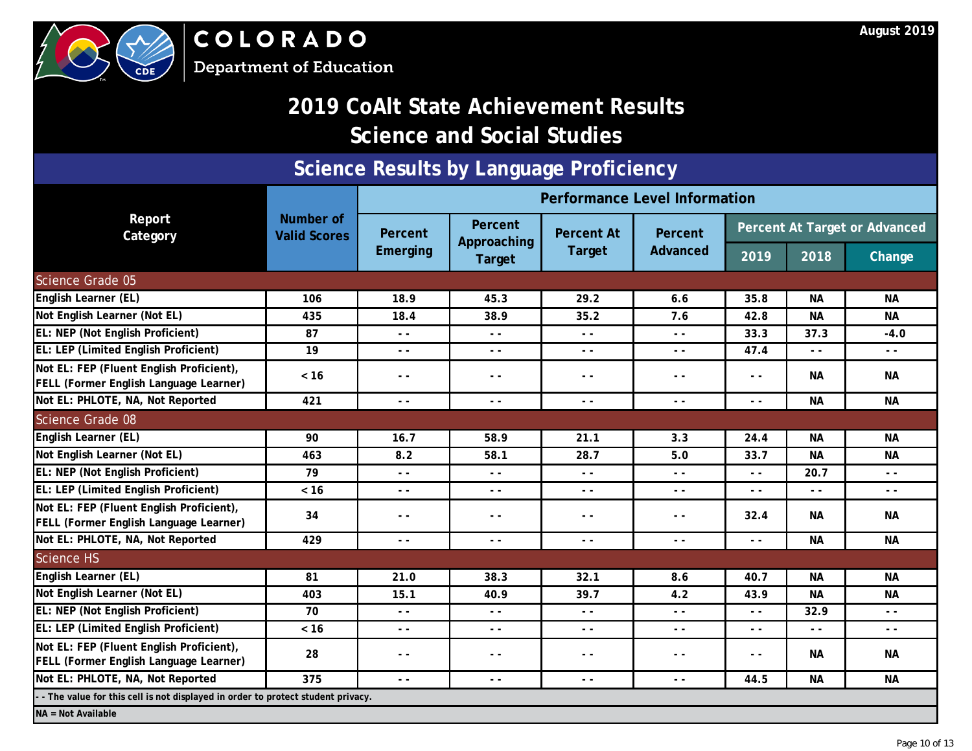

COLORADO **Department of Education** 

### **2019 CoAlt State Achievement Results Science and Social Studies**

### **Science Results by Language Proficiency**

|                                                                                    |                                  |                                                                                                                                                                                                                                                                                                                                                                                              |                               | <b>Performance Level Information</b>     |                                                                                                                                                                                                                                                                                                                                                                                              |               |               | Percent At Target or Advanced<br><b>Change</b><br><b>NA</b><br><b>NA</b><br>$-4.0$<br>$ -$<br><b>NA</b><br><b>NA</b><br><b>NA</b><br><b>NA</b><br>$ -$<br>$ -$<br><b>NA</b><br><b>NA</b><br><b>NA</b><br><b>NA</b><br>$ -$<br>$ -$<br><b>NA</b> |  |  |
|------------------------------------------------------------------------------------|----------------------------------|----------------------------------------------------------------------------------------------------------------------------------------------------------------------------------------------------------------------------------------------------------------------------------------------------------------------------------------------------------------------------------------------|-------------------------------|------------------------------------------|----------------------------------------------------------------------------------------------------------------------------------------------------------------------------------------------------------------------------------------------------------------------------------------------------------------------------------------------------------------------------------------------|---------------|---------------|-------------------------------------------------------------------------------------------------------------------------------------------------------------------------------------------------------------------------------------------------|--|--|
| Report<br>Category                                                                 | Number of<br><b>Valid Scores</b> | Percent                                                                                                                                                                                                                                                                                                                                                                                      | <b>Percent</b><br>Approaching | <b>Percent At</b>                        | Percent                                                                                                                                                                                                                                                                                                                                                                                      |               |               |                                                                                                                                                                                                                                                 |  |  |
|                                                                                    |                                  | Emerging                                                                                                                                                                                                                                                                                                                                                                                     | Target                        | <b>Target</b>                            | Advanced                                                                                                                                                                                                                                                                                                                                                                                     | 2019          | 2018          |                                                                                                                                                                                                                                                 |  |  |
| <b>Science Grade 05</b>                                                            |                                  |                                                                                                                                                                                                                                                                                                                                                                                              |                               |                                          |                                                                                                                                                                                                                                                                                                                                                                                              |               |               |                                                                                                                                                                                                                                                 |  |  |
| English Learner (EL)                                                               | 106                              | 18.9                                                                                                                                                                                                                                                                                                                                                                                         | 45.3                          | 29.2                                     | 6.6                                                                                                                                                                                                                                                                                                                                                                                          | 35.8          | <b>NA</b>     |                                                                                                                                                                                                                                                 |  |  |
| Not English Learner (Not EL)                                                       | 435                              | 18.4                                                                                                                                                                                                                                                                                                                                                                                         | 38.9                          | 35.2                                     | 7.6                                                                                                                                                                                                                                                                                                                                                                                          | 42.8          | <b>NA</b>     |                                                                                                                                                                                                                                                 |  |  |
| EL: NEP (Not English Proficient)                                                   | 87                               | $\sim$ $\sim$                                                                                                                                                                                                                                                                                                                                                                                | $ -$                          | $ -$                                     | $\frac{1}{2} \frac{1}{2} \frac{1}{2} \frac{1}{2} \frac{1}{2} \frac{1}{2} \frac{1}{2} \frac{1}{2} \frac{1}{2} \frac{1}{2} \frac{1}{2} \frac{1}{2} \frac{1}{2} \frac{1}{2} \frac{1}{2} \frac{1}{2} \frac{1}{2} \frac{1}{2} \frac{1}{2} \frac{1}{2} \frac{1}{2} \frac{1}{2} \frac{1}{2} \frac{1}{2} \frac{1}{2} \frac{1}{2} \frac{1}{2} \frac{1}{2} \frac{1}{2} \frac{1}{2} \frac{1}{2} \frac{$ | 33.3          | 37.3          |                                                                                                                                                                                                                                                 |  |  |
| EL: LEP (Limited English Proficient)                                               | 19                               | $ -$                                                                                                                                                                                                                                                                                                                                                                                         | $ -$                          | $ -$                                     | $ -$                                                                                                                                                                                                                                                                                                                                                                                         | 47.4          | $\sim$ $\sim$ |                                                                                                                                                                                                                                                 |  |  |
| Not EL: FEP (Fluent English Proficient),<br>FELL (Former English Language Learner) | $<16$                            | $ -$                                                                                                                                                                                                                                                                                                                                                                                         | $ -$                          |                                          | $ -$                                                                                                                                                                                                                                                                                                                                                                                         | $ -$          | <b>NA</b>     |                                                                                                                                                                                                                                                 |  |  |
| Not EL: PHLOTE, NA, Not Reported                                                   | 421                              | $\sim$ $\sim$                                                                                                                                                                                                                                                                                                                                                                                | $ -$                          | $ -$                                     | $\sim$ $\sim$                                                                                                                                                                                                                                                                                                                                                                                | $\sim$ $\sim$ | <b>NA</b>     |                                                                                                                                                                                                                                                 |  |  |
| <b>Science Grade 08</b>                                                            |                                  |                                                                                                                                                                                                                                                                                                                                                                                              |                               |                                          |                                                                                                                                                                                                                                                                                                                                                                                              |               |               |                                                                                                                                                                                                                                                 |  |  |
| English Learner (EL)                                                               | 90                               | 16.7                                                                                                                                                                                                                                                                                                                                                                                         | 58.9                          | 21.1                                     | 3.3                                                                                                                                                                                                                                                                                                                                                                                          | 24.4          | <b>NA</b>     |                                                                                                                                                                                                                                                 |  |  |
| Not English Learner (Not EL)                                                       | 463                              | 8.2                                                                                                                                                                                                                                                                                                                                                                                          | 58.1                          | 28.7                                     | 5.0                                                                                                                                                                                                                                                                                                                                                                                          | 33.7          | <b>NA</b>     |                                                                                                                                                                                                                                                 |  |  |
| EL: NEP (Not English Proficient)                                                   | 79                               | $\frac{1}{2} \frac{1}{2} \frac{1}{2} \frac{1}{2} \frac{1}{2} \frac{1}{2} \frac{1}{2} \frac{1}{2} \frac{1}{2} \frac{1}{2} \frac{1}{2} \frac{1}{2} \frac{1}{2} \frac{1}{2} \frac{1}{2} \frac{1}{2} \frac{1}{2} \frac{1}{2} \frac{1}{2} \frac{1}{2} \frac{1}{2} \frac{1}{2} \frac{1}{2} \frac{1}{2} \frac{1}{2} \frac{1}{2} \frac{1}{2} \frac{1}{2} \frac{1}{2} \frac{1}{2} \frac{1}{2} \frac{$ | $ -$                          | $ -$                                     | $ -$                                                                                                                                                                                                                                                                                                                                                                                         | $ -$          | 20.7          |                                                                                                                                                                                                                                                 |  |  |
| EL: LEP (Limited English Proficient)                                               | $< 16$                           | $\sim$ $\sim$                                                                                                                                                                                                                                                                                                                                                                                | $ -$                          | $\frac{1}{2} \left( \frac{1}{2} \right)$ | $ -$                                                                                                                                                                                                                                                                                                                                                                                         | $ -$          | $\frac{1}{2}$ |                                                                                                                                                                                                                                                 |  |  |
| Not EL: FEP (Fluent English Proficient),<br>FELL (Former English Language Learner) | 34                               | $ -$                                                                                                                                                                                                                                                                                                                                                                                         | $ -$                          | $ -$                                     | $ -$                                                                                                                                                                                                                                                                                                                                                                                         | 32.4          | <b>NA</b>     |                                                                                                                                                                                                                                                 |  |  |
| Not EL: PHLOTE, NA, Not Reported                                                   | 429                              | $- -$                                                                                                                                                                                                                                                                                                                                                                                        | $ -$                          | $ -$                                     | $ -$                                                                                                                                                                                                                                                                                                                                                                                         | $ -$          | <b>NA</b>     |                                                                                                                                                                                                                                                 |  |  |
| Science HS                                                                         |                                  |                                                                                                                                                                                                                                                                                                                                                                                              |                               |                                          |                                                                                                                                                                                                                                                                                                                                                                                              |               |               |                                                                                                                                                                                                                                                 |  |  |
| English Learner (EL)                                                               | 81                               | 21.0                                                                                                                                                                                                                                                                                                                                                                                         | 38.3                          | 32.1                                     | 8.6                                                                                                                                                                                                                                                                                                                                                                                          | 40.7          | <b>NA</b>     |                                                                                                                                                                                                                                                 |  |  |
| Not English Learner (Not EL)                                                       | 403                              | 15.1                                                                                                                                                                                                                                                                                                                                                                                         | 40.9                          | 39.7                                     | 4.2                                                                                                                                                                                                                                                                                                                                                                                          | 43.9          | <b>NA</b>     |                                                                                                                                                                                                                                                 |  |  |
| EL: NEP (Not English Proficient)                                                   | 70                               | $\frac{1}{2} \frac{1}{2} \frac{1}{2} \frac{1}{2} \frac{1}{2} \frac{1}{2} \frac{1}{2} \frac{1}{2} \frac{1}{2} \frac{1}{2} \frac{1}{2} \frac{1}{2} \frac{1}{2} \frac{1}{2} \frac{1}{2} \frac{1}{2} \frac{1}{2} \frac{1}{2} \frac{1}{2} \frac{1}{2} \frac{1}{2} \frac{1}{2} \frac{1}{2} \frac{1}{2} \frac{1}{2} \frac{1}{2} \frac{1}{2} \frac{1}{2} \frac{1}{2} \frac{1}{2} \frac{1}{2} \frac{$ | $ -$                          | $ -$                                     | $\sim$ $\sim$                                                                                                                                                                                                                                                                                                                                                                                | $ -$          | 32.9          |                                                                                                                                                                                                                                                 |  |  |
| EL: LEP (Limited English Proficient)                                               | $< 16$                           | $\sim$ $\sim$                                                                                                                                                                                                                                                                                                                                                                                | $ -$                          | $ -$                                     | $\frac{1}{2} \frac{1}{2} \frac{1}{2} \frac{1}{2} \frac{1}{2} \frac{1}{2} \frac{1}{2} \frac{1}{2} \frac{1}{2} \frac{1}{2} \frac{1}{2} \frac{1}{2} \frac{1}{2} \frac{1}{2} \frac{1}{2} \frac{1}{2} \frac{1}{2} \frac{1}{2} \frac{1}{2} \frac{1}{2} \frac{1}{2} \frac{1}{2} \frac{1}{2} \frac{1}{2} \frac{1}{2} \frac{1}{2} \frac{1}{2} \frac{1}{2} \frac{1}{2} \frac{1}{2} \frac{1}{2} \frac{$ | $ -$          | $\frac{1}{2}$ |                                                                                                                                                                                                                                                 |  |  |
| Not EL: FEP (Fluent English Proficient),<br>FELL (Former English Language Learner) | 28                               | $- -$                                                                                                                                                                                                                                                                                                                                                                                        | - -                           | $ -$                                     | $ -$                                                                                                                                                                                                                                                                                                                                                                                         | $- -$         | <b>NA</b>     |                                                                                                                                                                                                                                                 |  |  |
| Not EL: PHLOTE, NA, Not Reported                                                   | 375                              | $ -$                                                                                                                                                                                                                                                                                                                                                                                         | $ -$                          | $ -$                                     | $\sim$ $\sim$                                                                                                                                                                                                                                                                                                                                                                                | 44.5          | <b>NA</b>     | <b>NA</b>                                                                                                                                                                                                                                       |  |  |
| - The value for this cell is not displayed in order to protect student privacy.    |                                  |                                                                                                                                                                                                                                                                                                                                                                                              |                               |                                          |                                                                                                                                                                                                                                                                                                                                                                                              |               |               |                                                                                                                                                                                                                                                 |  |  |
| NA = Not Available                                                                 |                                  |                                                                                                                                                                                                                                                                                                                                                                                              |                               |                                          |                                                                                                                                                                                                                                                                                                                                                                                              |               |               |                                                                                                                                                                                                                                                 |  |  |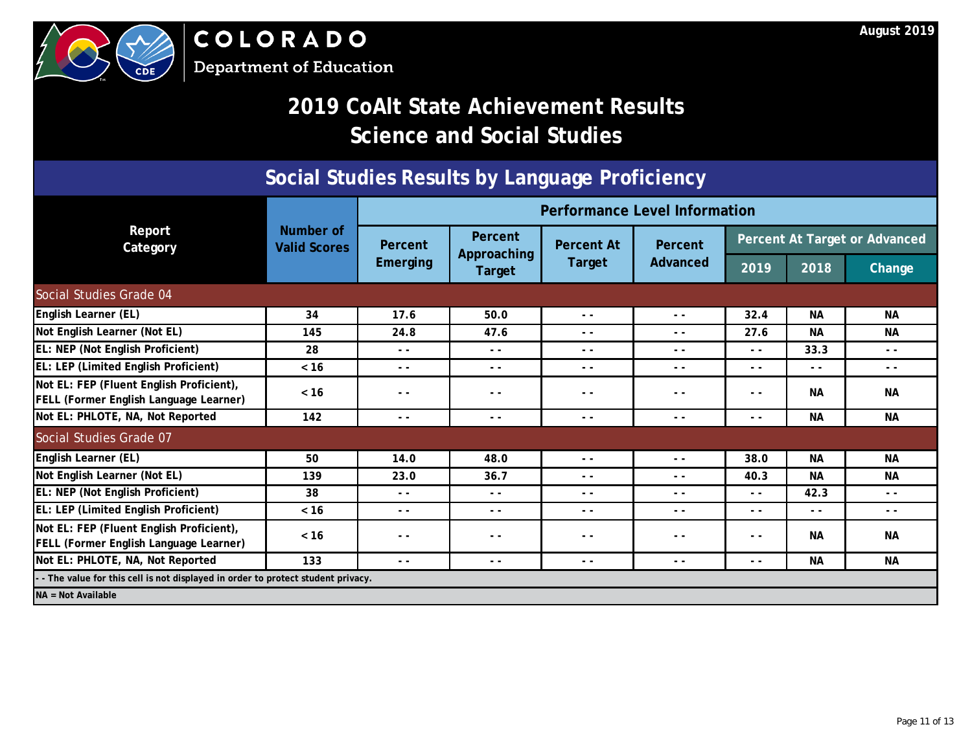

### **Social Studies Results by Language Proficiency**

|                                                                                    |                                  | <b>Performance Level Information</b> |                        |                   |                |                               |               |               |  |
|------------------------------------------------------------------------------------|----------------------------------|--------------------------------------|------------------------|-------------------|----------------|-------------------------------|---------------|---------------|--|
| Report<br>Category                                                                 | Number of<br><b>Valid Scores</b> | Percent                              | Percent<br>Approaching | <b>Percent At</b> | <b>Percent</b> | Percent At Target or Advanced |               |               |  |
|                                                                                    |                                  | Emerging                             | Target                 | <b>Target</b>     | Advanced       | 2019                          | 2018          | <b>Change</b> |  |
| Social Studies Grade 04                                                            |                                  |                                      |                        |                   |                |                               |               |               |  |
| <b>English Learner (EL)</b>                                                        | 34                               | 17.6                                 | 50.0                   | $ -$              | $ -$           | 32.4                          | <b>NA</b>     | <b>NA</b>     |  |
| Not English Learner (Not EL)                                                       | 145                              | 24.8                                 | 47.6                   | $ -$              | $ -$           | 27.6                          | <b>NA</b>     | <b>NA</b>     |  |
| EL: NEP (Not English Proficient)                                                   | 28                               | $ -$                                 | $ -$                   | $ -$              | - -            | $ -$                          | 33.3          | $ -$          |  |
| EL: LEP (Limited English Proficient)                                               | $< 16$                           | $ -$                                 | $ -$                   | - -               | - -            | $ -$                          | $ -$          | - -           |  |
| Not EL: FEP (Fluent English Proficient),<br>FELL (Former English Language Learner) | < 16                             | $ -$                                 | $ -$                   | $ -$              | $ -$           | $ -$                          | <b>NA</b>     | <b>NA</b>     |  |
| Not EL: PHLOTE, NA, Not Reported                                                   | 142                              | $ -$                                 | $ -$                   | $\sim$ $\sim$     | $ -$           | $ -$                          | <b>NA</b>     | <b>NA</b>     |  |
| Social Studies Grade 07                                                            |                                  |                                      |                        |                   |                |                               |               |               |  |
| English Learner (EL)                                                               | 50                               | 14.0                                 | 48.0                   | $ -$              | $ -$           | 38.0                          | <b>NA</b>     | <b>NA</b>     |  |
| Not English Learner (Not EL)                                                       | 139                              | 23.0                                 | 36.7                   | $ -$              | $ -$           | 40.3                          | <b>NA</b>     | <b>NA</b>     |  |
| EL: NEP (Not English Proficient)                                                   | 38                               | $ -$                                 | $ -$                   | $ -$              | - -            | $ -$                          | 42.3          | $ -$          |  |
| EL: LEP (Limited English Proficient)                                               | $< 16$                           | $ -$                                 | $ -$                   | $ -$              | $ -$           | $ -$                          | $\sim$ $\sim$ | $ -$          |  |
| Not EL: FEP (Fluent English Proficient),<br>FELL (Former English Language Learner) | $< 16$                           | $ -$                                 | $ -$                   | $\sim$ $\sim$     | $ -$           | $ -$                          | <b>NA</b>     | <b>NA</b>     |  |
| Not EL: PHLOTE, NA, Not Reported                                                   | 133                              | $ -$                                 | $ -$                   | $ -$              | $ -$           | $ -$                          | <b>NA</b>     | <b>NA</b>     |  |
| - The value for this cell is not displayed in order to protect student privacy.    |                                  |                                      |                        |                   |                |                               |               |               |  |
| $NA = Not Available$                                                               |                                  |                                      |                        |                   |                |                               |               |               |  |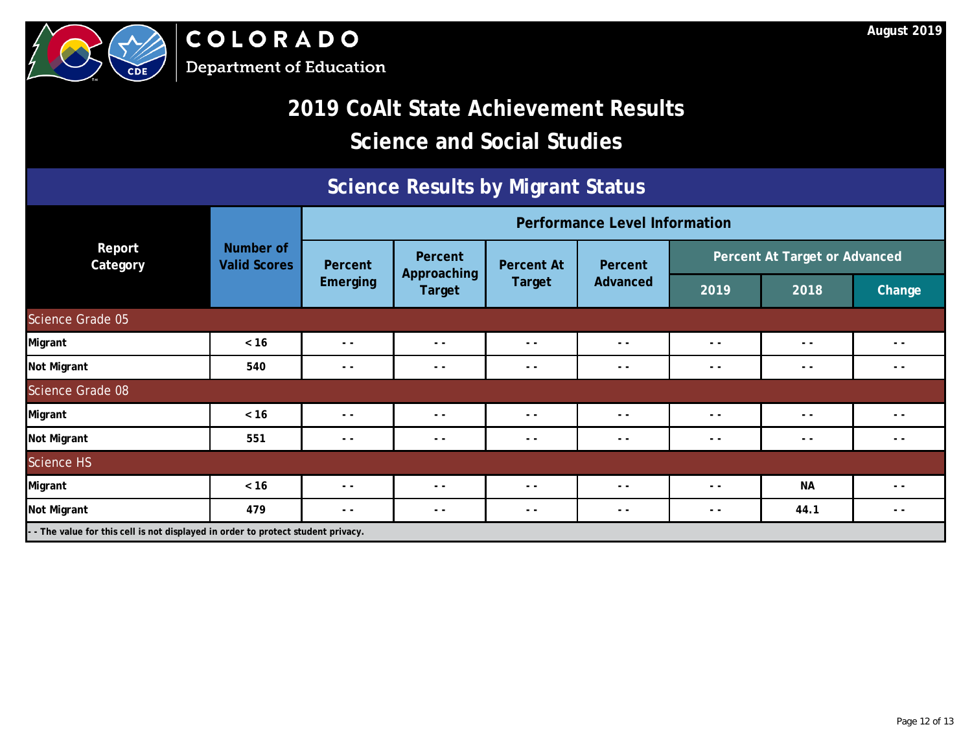

### **Science Results by Migrant Status**

|                                                                                   |                                  |               | <b>Performance Level Information</b> |                   |          |      |                               |        |  |  |
|-----------------------------------------------------------------------------------|----------------------------------|---------------|--------------------------------------|-------------------|----------|------|-------------------------------|--------|--|--|
| Report<br>Category                                                                | Number of<br><b>Valid Scores</b> | Percent       | Percent<br>Approaching               | <b>Percent At</b> | Percent  |      | Percent At Target or Advanced |        |  |  |
|                                                                                   |                                  | Emerging      | <b>Target</b>                        | Target            | Advanced | 2019 | 2018                          | Change |  |  |
| Science Grade 05                                                                  |                                  |               |                                      |                   |          |      |                               |        |  |  |
| <b>Migrant</b>                                                                    | $< 16$                           | $- -$         | $\frac{1}{2}$                        | $ -$              | $ -$     | $ -$ | $ -$                          | $ -$   |  |  |
| <b>Not Migrant</b>                                                                | 540                              | $ -$          | $\frac{1}{2}$                        | $ -$              | $ -$     | $ -$ | $ -$                          | $ -$   |  |  |
| Science Grade 08                                                                  |                                  |               |                                      |                   |          |      |                               |        |  |  |
| <b>Migrant</b>                                                                    | $< 16$                           | $\sim$ $\sim$ | $\frac{1}{2}$                        | $ -$              | $ -$     | $ -$ | $ -$                          | $ -$   |  |  |
| <b>Not Migrant</b>                                                                | 551                              | $ -$          | $\frac{1}{2}$                        | $ -$              | $ -$     | - -  | $ -$                          | - -    |  |  |
| <b>Science HS</b>                                                                 |                                  |               |                                      |                   |          |      |                               |        |  |  |
| Migrant                                                                           | $< 16$                           | $ -$          | $ -$                                 | $ -$              | $ -$     | $ -$ | <b>NA</b>                     | - -    |  |  |
| Not Migrant                                                                       | 479                              | $ -$          | $- -$                                | $ -$              | $ -$     | $ -$ | 44.1                          | - -    |  |  |
| - - The value for this cell is not displayed in order to protect student privacy. |                                  |               |                                      |                   |          |      |                               |        |  |  |